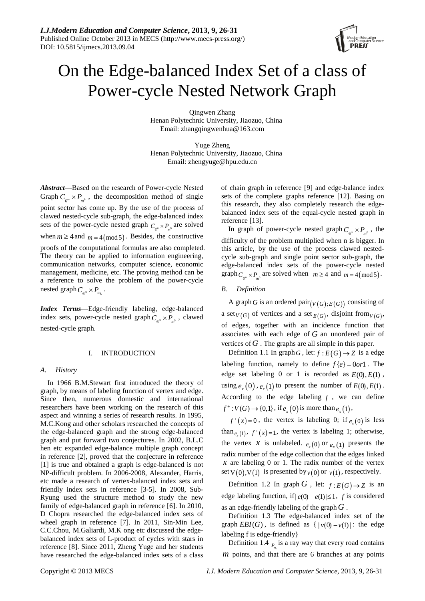

# On the Edge-balanced Index Set of a class of Power-cycle Nested Network Graph

Qingwen Zhang Henan Polytechnic University, Jiaozuo, China Email: zhangqingwenhua@163.com

Yuge Zheng Henan Polytechnic University, Jiaozuo, China Email: zhengyuge@hpu.edu.cn

*Abstract*—Based on the research of Power-cycle Nested Graph  $C_{\epsilon^m} \times P_{m^6}$ , the decomposition method of single point sector has come up. By the use of the process of clawed nested-cycle sub-graph, the edge-balanced index sets of the power-cycle nested graph  $C_{\epsilon^m} \times P_{\epsilon^m}$  are solved when  $m \ge 4$  and  $m = 4 \pmod{5}$ . Besides, the constructive proofs of the computational formulas are also completed. The theory can be applied to information engineering, communication networks, computer science, economic management, medicine, etc. The proving method can be a reference to solve the problem of the power-cycle nested graph  $C_{\epsilon^m} \times P_{m_{\epsilon}}$ .

*Index Terms*—Edge-friendly labeling, edge-balanced index sets, power-cycle nested graph  $C_{\epsilon^m} \times P_{\epsilon^m}$ , clawed nested-cycle graph.

# I. INTRODUCTION

# *A. History*

In 1966 B.M.Stewart first introduced the theory of graph, by means of labeling function of vertex and edge. Since then, numerous domestic and international researchers have been working on the research of this aspect and winning a series of research results. In 1995, M.C.Kong and other scholars researched the concepts of the edge-balanced graph and the strong edge-balanced graph and put forward two conjectures. In 2002, B.L.C hen etc expanded edge-balance multiple graph concept in reference [2], proved that the conjecture in reference [1] is true and obtained a graph is edge-balanced is not NP-difficult problem. In 2006-2008, Alexander, Harris, etc made a research of vertex-balanced index sets and friendly index sets in reference [3-5]. In 2008, Sub-Ryung used the structure method to study the new family of edge-balanced graph in reference [6]. In 2010, D Chopra researched the edge-balanced index sets of wheel graph in reference [7]. In 2011, Sin-Min Lee, C.C.Chou, M.Galiardi, M.K ong etc discussed the edgebalanced index sets of L-product of cycles with stars in reference [8]. Since 2011, Zheng Yuge and her students have researched the edge-balanced index sets of a class of chain graph in reference [9] and edge-balance index sets of the complete graphs reference [12]. Basing on this research, they also completely research the edgebalanced index sets of the equal-cycle nested graph in reference [13].

In graph of power-cycle nested graph  $C_{\epsilon^m} \times P_{\epsilon^0}$ , the difficulty of the problem multiplied when n is bigger. In this article, by the use of the process clawed nestedcycle sub-graph and single point sector sub-graph, the edge-balanced index sets of the power-cycle nested graph  $C_{\epsilon^m} \times P_{\epsilon^m}$  are solved when  $m \geq 4$  and  $m = 4 \pmod{5}$ .

# *B. Definition*

A graph *G* is an ordered pair  $(V(G); E(G))$  consisting of a set<sub>*V*(*G*)</sub> of vertices and a set<sub>*E*(*G*)</sub>, disjoint from<sub>*V*(*G*)</sub>, of edges, together with an incidence function that associates with each edge of *G* an unordered pair of vertices of  $G$ . The graphs are all simple in this paper.

Definition 1.1 In graph G, let:  $f : E(G) \rightarrow Z$  is a edge labeling function, namely to define  $f\{e\} = 0 \text{ or } 1$ . The edge set labeling 0 or 1 is recorded as  $E(0), E(1)$ , using  $e_x(0)$ ,  $e_x(1)$  to present the number of  $E(0), E(1)$ . According to the edge labeling  $f$ , we can define  $f^*: V(G) \to \{0,1\}$ , if  $e_x(0)$  is more than  $e_x(1)$ ,

 $f^{+}(x)=0$ , the vertex is labeling 0; if  $e_{x}(0)$  is less than<sub>e (1)</sub>,  $f^+(x) = 1$ , the vertex is labeling 1; otherwise, the vertex *x* is unlabeled.  $e_x(0)$  or  $e_y(1)$  presents the radix number of the edge collection that the edges linked *x* are labeling 0 or 1. The radix number of the vertex set  $V(0), V(1)$  is presented by  $v(0)$  or  $v(1)$ , respectively.

Definition 1.2 In graph *G*, let:  $f: E(G) \rightarrow Z$  is an edge labeling function, if  $|e(0) - e(1)| \le 1$ , *f* is considered as an edge-friendly labeling of the graph*G* .

Definition 1.3 The edge-balanced index set of the graph  $EBI(G)$ , is defined as  $\{ |v(0) - v(1)| : \text{ the edge } \}$ labeling f is edge-friendly}

Definition 1.4  $_{P_1}$  is a ray way that every road contains *m* points, and that there are 6 branches at any points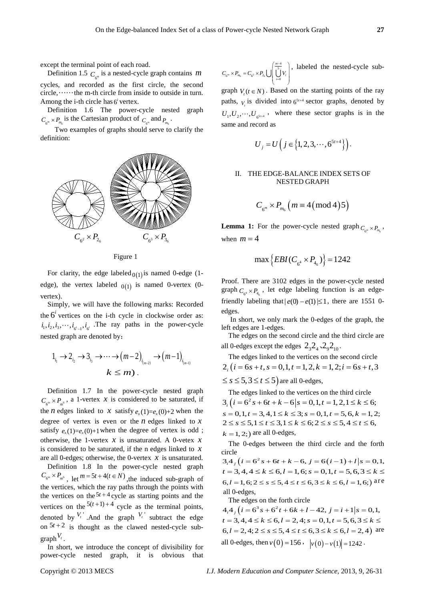except the terminal point of each road.

Definition 1.5  $C_m$  is a nested-cycle graph contains *m* cycles, and recorded as the first circle, the second  $circle, \dots \dots$  the m-th circle from inside to outside in turn. Among the i-th circle has 6*<sup>i</sup>* vertex.

Definition 1.6 The power-cycle nested graph  $C_{\epsilon^m} \times P_m$  is the Cartesian product of  $C_{\epsilon^m}$  and  $P_m$ .

Two examples of graphs should serve to clarify the definition:



Figure 1

For clarity, the edge labeled  $0 \text{ (}1 \text{)}$  is named 0-edge (1edge), the vertex labeled  $0(1)$  is named 0-vertex (0vertex).

Simply, we will have the following marks: Recorded the  $6<sup>i</sup>$  vertices on the i-th cycle in clockwise order as:  $i_1, i_2, i_3, \dots, i_{6^i-1}, i_{6^i}$ . The ray paths in the power-cycle nested graph are denoted by:

$$
1_{i_1} \rightarrow 2_{i_2} \rightarrow 3_{i_3} \rightarrow \cdots \rightarrow (m-2)_{i_{(m-2)}} \rightarrow (m-1)_{i_{(m-1)}}
$$
  

$$
k \leq m.
$$

Definition 1.7 In the power-cycle nested graph  $C_{\epsilon^m} \times P_{m^6}$ , a 1-vertex *x* is considered to be saturated, if the *n* edges linked to *x* satisfy  $e_x(1)=e_x(0)+2$  when the degree of vertex is even or the  $n$  edges linked to  $x$ satisfy  $e_r(1)=e_r(0)+1$  when the degree of vertex is odd; otherwise, the 1-vertex  $x$  is unsaturated. A 0-vetex  $x$ is considered to be saturated, if the n edges linked to *x* are all 0-edges; otherwise, the 0-vertex *x* is unsaturated.

Definition 1.8 In the power-cycle nested graph  $C_{\epsilon^m} \times P_{m^6}$ , let  $m = 5t + 4(t \in N)$ , the induced sub-graph of the vertices, which the ray paths through the points with the vertices on the  $5t + 4$  cycle as starting points and the vertices on the  $5(t+1)+4$  cycle as the terminal points, denoted by  $V_t$ <sup>t</sup>. And the graph  $V_t$ <sup>t</sup> subtract the edge on  $5t + 2$  is thought as the clawed nested-cycle sub- $\text{graph}^{\mathbf{V}_t}$ .

In short, we introduce the concept of divisibility for power-cycle nested graph, it is obvious that

 $m_{\rm g}$   $\sim$   $m_{\rm g}$   $\sim$   $\sim$   $\frac{2}{\rm g}$  $\frac{-4}{5}$  $6^{\rm m}$   $\leftarrow$   $\leftarrow$   $6^{\rm 2}$   $\leftarrow$   $\leftarrow$   $2_{\rm 6}$   $\bigcup$   $\bigcup$   $\bigcup$   $\bigcup$   $\bigcup$   $\bigcup$   $\bigcup$   $\bigcup$   $\bigcup$   $\bigcup$ *m*  $C_{6^m} \times P_{m_6} = C_{6^2} \times P_{2_6}$   $\bigcup_{i=0}^{m} V_i$ −  $\times P_{m_0} = C_{\epsilon^2} \times P_{2_0} \cup \left( \bigcup_{i=0}^{\frac{m-4}{5}} V_i \right)$ , labeled the nested-cycle sub-

graph  $V(t \in N)$ . Based on the starting points of the ray paths,  $V_t$  is divided into  $6^{5t+4}$  sector graphs, denoted by  $U_1, U_2, \dots, U_{\epsilon^{2t+4}}$ , where these sector graphs is in the same and record as

$$
U_j = U\left(j \in \{1, 2, 3, \cdots, 6^{5t+4}\}\right).
$$

## II. THE EDGE-BALANCE INDEX SETS OF NESTED GRAPH

$$
C_{6^m} \times P_{m_6} \left( m \equiv 4 \left( \bmod 4 \right) 5 \right)
$$

**Lemma 1:** For the power-cycle nested graph  $C_{\epsilon m} \times P_m$ , when  $m = 4$ 

$$
\max \{EBI(C_{6^4} \times P_{4_6})\} = 1242
$$

Proof. There are 3102 edges in the power-cycle nested graph  $C_{\epsilon^4} \times P_{4}$ , let edge labeling function is an edgefriendly labeling that  $|e(0) - e(1)| \le 1$ , there are 1551 0edges.

In short, we only mark the 0-edges of the graph, the left edges are 1-edges.

The edges on the second circle and the third circle are all 0-edges except the edges  $2\overline{3}2_4\overline{2}_92_{10}$ .

The edges linked to the vertices on the second circle  $2$ ,  $(i = 6s + t, s = 0, 1, t = 1, 2, k = 1, 2; i = 6s + t, 3$ 

 $\leq$  s  $\leq$  5, 3  $\leq$  t  $\leq$  5) are all 0-edges,

The edges linked to the vertices on the third circle  $3, (i = 6^2 s + 6t + k - 6 | s = 0, 1, t = 1, 2, 1 \le k \le 6;$  $s = 0, 1, t = 3, 4, 1 \le k \le 3; s = 0, 1, t = 5, 6, k = 1, 2;$  $2 \leq s \leq 5, 1 \leq t \leq 3, 1 \leq k \leq 6; 2 \leq s \leq 5, 4 \leq t \leq 6,$  $k = 1, 2;$ ) are all 0-edges,

The 0-edges between the third circle and the forth circle

 $3.4$ ,  $(i = 6^2 s + 6t + k - 6, j = 6(i - 1) + i | s = 0,1$ ,  $t = 3, 4, 4 \le k \le 6, l = 1, 6; s = 0, 1, t = 5, 6, 3 \le k \le 6$  $6, l = 1, 6; 2 \le s \le 5, 4 \le t \le 6, 3 \le k \le 6, l = 1, 6;$  are all 0-edges,

The edges on the forth circle

 $4_14_1(i=6^3s+6^2t+6k+l-42, j=i+1|s=0,1,$  $t = 3, 4, 4 \le k \le 6, l = 2, 4; s = 0, 1, t = 5, 6, 3 \le k \le 6$  $6, l = 2, 4; 2 \le s \le 5, 4 \le t \le 6, 3 \le k \le 6, l = 2, 4$  are all 0-edges, then  $v(0) = 156$ ,  $|v(0) - v(1)| = 1242$ .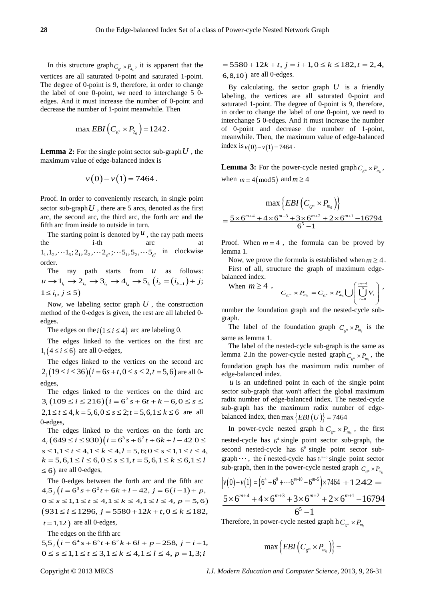In this structure graph  $C_{A} \times P_{A}$ , it is apparent that the vertices are all saturated 0-point and saturated 1-point. The degree of 0-point is 9, therefore, in order to change the label of one 0-point, we need to interchange 5 0 edges. And it must increase the number of 0-point and decrease the number of 1-point meanwhile. Then

$$
\max EBI\left(C_{6^2} \times P_{2_6}\right) = 1242.
$$

**Lemma 2:** For the single point sector sub-graph  $U$ , the maximum value of edge-balanced index is

$$
v(0)-v(1)=7464.
$$

Proof. In order to conveniently research, in single point sector sub-graph  $U$ , there are 5 arcs, denoted as the first arc, the second arc, the third arc, the forth arc and the fifth arc from inside to outside in turn.

The starting point is denoted by  $^{\mathcal{U}}$ , the ray path meets the i-th arc at  $1_1, 1_2, \cdots 1_6$ ;  $2_1, 2_2, \cdots 2_{6^2}$ ;  $\cdots 5_1, 5_2, \cdots 5_{6^5}$  in clockwise order.

The ray path starts from *u* as follows:  $u \to 1_{i_1} \to 2_{i_2} \to 3_{i_3} \to 4_{i_4} \to 5_{i_5} (i_k = (i_{k-1}) + j;$  $1 \le i_1, j \le 5$ 

Now, we labeling sector graph  $U$ , the construction method of the 0-edges is given, the rest are all labeled 0 edges.

The edges on the  $i(1 \le i \le 4)$  arc are labeling 0.

The edges linked to the vertices on the first arc  $1,(4 \le i \le 6)$  are all 0-edges,

The edges linked to the vertices on the second arc  $2$ ,  $(19 \le i \le 36)$   $(i = 6s + t, 0 \le s \le 2, t = 5, 6)$  are all 0edges,

The edges linked to the vertices on the third arc  $(3, (109 \le i \le 216))(i = 6^2 s + 6t + k - 6, 0 \le s \le$  $2, 1 \le t \le 4, k = 5, 6, 0 \le s \le 2; t = 5, 6, 1 \le k \le 6$  are all 0-edges,

The edges linked to the vertices on the forth arc  $(4, (649 \le i \le 930)(i = 6^3 s + 6^2 t + 6k + 1 - 42)0 \le i$  $s \le 1, 1 \le t \le 4, 1 \le k \le 4, l = 5, 6; 0 \le s \le 1, 1 \le t \le 4,$  $k = 5, 6, 1 \le l \le 6, 0 \le s \le 1, t = 5, 6, 1 \le k \le 6, 1 \le l$  $\leq 6$ ) are all 0-edges,

The 0-edges between the forth arc and the fifth arc  $4.5$ ,  $(i = 6^3 s + 6^2 t + 6k + l - 42$ ,  $j = 6(i - 1) + p$ ,  $0 \le s \le 1, 1 \le t \le 4, 1 \le k \le 4, 1 \le l \le 4, p = 5,6$  $(931 \le i \le 1296, j = 5580 + 12k + t, 0 \le k \le 182,$  $t = 1,12$ ) are all 0-edges,

The edges on the fifth arc

 $5.5 \frac{1}{6}$   $(i = 6^4 s + 6^3 t + 6^2 k + 6l + p - 258, j = i + 1,$  $0 \leq s \leq 1, 1 \leq t \leq 3, 1 \leq k \leq 4, 1 \leq l \leq 4, p = 1, 3; i$ 

 $= 5580 + 12k + t$ ,  $j = i + 1, 0 \le k \le 182$ ,  $t = 2, 4$ , 6,8,10) are all 0-edges.

By calculating, the sector graph  $U$  is a friendly labeling, the vertices are all saturated 0-point and saturated 1-point. The degree of 0-point is 9, therefore, in order to change the label of one 0-point, we need to interchange 5 0-edges. And it must increase the number of 0-point and decrease the number of 1-point, meanwhile. Then, the maximum value of edge-balanced index is  $v(0) - v(1) = 7464$ .

**Lemma 3:** For the power-cycle nested graph  $C_{\ell m} \times P_m$ , when  $m \equiv 4 \pmod{5}$  and  $m \ge 4$ 

$$
\max \left\{ EBI \left( C_{\sigma^m} \times P_{m_6} \right) \right\}
$$
  
= 
$$
\frac{5 \times 6^{m+4} + 4 \times 6^{m+3} + 3 \times 6^{m+2} + 2 \times 6^{m+1} - 16794}{6^5 - 1}
$$

Proof. When  $m = 4$ , the formula can be proved by lemma 1.

Now, we prove the formula is established when  $m \geq 4$ . First of all, structure the graph of maximum edgebalanced index.

When  $m \geq 4$ ,  $_{m} \times F_{m_{6}} = C_{6^{4}} \times F_{4_{6}}$  $\frac{-4}{5}$  $_{6}^{m} \times P_{m_{6}} = C_{6^{4}} \times P_{4_{6}} \bigcup \left[ \bigcup_{i=0}^{m} Q_{i} \right]$ *m*  $C_{6^{\rm m}} \times P_{m_6} = C_{6^4} \times P_{4_6} \bigcup \left| \bigcup_{i=0}^{3} V_i \right|$ −  $\times P_{\scriptscriptstyle m_{\scriptscriptstyle 6}}= C_{\scriptscriptstyle 6^4}\times P_{\scriptscriptstyle 4_{\scriptscriptstyle 6}}\bigcup \left(\overline{\bigcup_{i=0}^{\scriptscriptstyle m-4}V_i}\right),$ 

number the foundation graph and the nested-cycle subgraph.

The label of the foundation graph  $C_{\ell m} \times P_{m}$  is the same as lemma 1.

The label of the nested-cycle sub-graph is the same as lemma 2.In the power-cycle nested graph  $C_{\ell m} \times P_m$ , the foundation graph has the maximum radix number of edge-balanced index.

 *is an undefined point in each of the single point* sector sub-graph that won't affect the global maximum radix number of edge-balanced index. The nested-cycle sub-graph has the maximum radix number of edgebalanced index, then max  $\{EBI(U)\}$  = 7464

In power-cycle nested graph h  $C_{\epsilon^m} \times P_m$ , the first nested-cycle has  $6<sup>4</sup>$  single point sector sub-graph, the second nested-cycle has  $6<sup>9</sup>$  single point sector subgraph $\cdots$ , the *i* nested-cycle has  $6^{m-5}$  single point sector sub-graph, then in the power-cycle nested graph  $C_{\ell m} \times P_{\ell m}$ .

$$
|v(0)-v(1)| = (6^4 + 6^9 + \dots + 6^{m-10} + 6^{m-5}) \times 7464 + 1242 =
$$
  

$$
\frac{5 \times 6^{m+4} + 4 \times 6^{m+3} + 3 \times 6^{m+2} + 2 \times 6^{m+1} - 16794}{6^5 - 1}
$$

Therefore, in power-cycle nested graph h  $C_{\epsilon^m} \times P_{m_{\epsilon}}$ 

$$
\max\Big\{{\cal E}BI\left(C_{_{6^m}}\times P_{_{m_6}}\right)\Big\}=
$$

Copyright © 2013 MECS *I.J. Modern Education and Computer Science,* 2013, 9, 26-31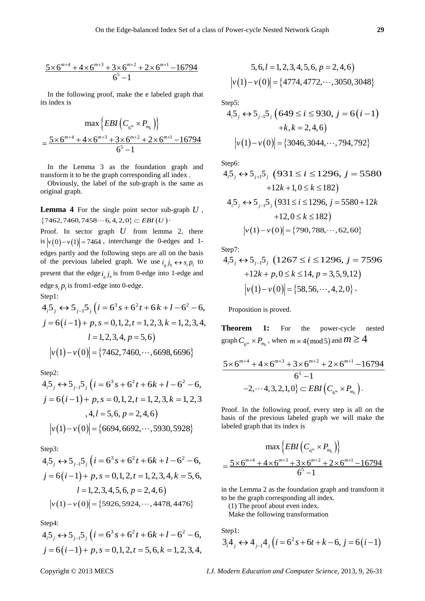$$
\frac{5 \times 6^{m+4} + 4 \times 6^{m+3} + 3 \times 6^{m+2} + 2 \times 6^{m+1} - 16794}{6^5 - 1}
$$

In the following proof, make the e labeled graph that its index is

$$
\max \left\{ EBI \left( C_{\epsilon^m} \times P_{m_6} \right) \right\}
$$
  
= 
$$
\frac{5 \times 6^{m+4} + 4 \times 6^{m+3} + 3 \times 6^{m+2} + 2 \times 6^{m+1} - 16794}{6^5 - 1}
$$

In the Lemma 3 as the foundation graph and transform it to be the graph corresponding all index .

Obviously, the label of the sub-graph is the same as original graph.

**Lemma 4** For the single point sector sub-graph *U* ,  ${7462,7460,7458 \cdots 6,4,2,0} \subset EBI(U)$ .

Proof. In sector graph *U* from lemma 2, there is  $|v(0)-v(1)| = 7464$ , interchange the 0-edges and 1edges partly and the following steps are all on the basis of the previous labeled graph. We use  $i_g j_h \leftrightarrow s_p p_l$  to present that the edge  $i_{,j_h}$  is from 0-edge into 1-edge and edge  $s$ ,  $p$ <sub>*i*</sub> is from1-edge into 0-edge. Step1:

 $4.5$   $\leftrightarrow$  5  $\frac{1}{1}$   $\frac{1}{2}$   $(i = 6^3 s + 6^2 t + 6k + 1 - 6^2 - 6)$  $j = 6(i-1) + p, s = 0, 1, 2, t = 1, 2, 3, k = 1, 2, 3, 4,$  $l = 1, 2, 3, 4, p = 5, 6$  $|v(1)-v(0)| = \{7462, 7460, \cdots, 6698, 6696\}$ 

Step2:

 $4.5$   $\leftrightarrow$  5  $\frac{1}{2}$ ,  $\left(i = 6^3 s + 6^2 t + 6k + 1 - 6^2 - 6\right)$  $j = 6(i-1) + p, s = 0, 1, 2, t = 1, 2, 3, k = 1, 2, 3$  $, 4, l = 5, 6, p = 2, 4, 6$  $|v(1)-v(0)| = {6694,6692, \cdots, 5930,5928}$ 

Step3:

$$
4_{i}5_{j} \leftrightarrow 5_{j-1}5_{j} (i = 6^{3} s + 6^{2} t + 6k + l - 6^{2} - 6,
$$
  
\n
$$
j = 6(i-1) + p, s = 0, 1, 2, t = 1, 2, 3, 4, k = 5, 6,
$$
  
\n
$$
l = 1, 2, 3, 4, 5, 6, p = 2, 4, 6
$$
  
\n
$$
|v(1) - v(0)| = \{5926, 5924, \cdots, 4478, 4476\}
$$

Step4:

 $4.5 \rightarrow 5$   $\frac{1}{2}$ ,  $(i = 6^3 s + 6^2 t + 6k + 1 - 6^2 - 6,$  $j = 6(i-1) + p, s = 0, 1, 2, t = 5, 6, k = 1, 2, 3, 4,$ 

$$
5, 6, l = 1, 2, 3, 4, 5, 6, p = 2, 4, 6
$$

$$
|v(1) - v(0)| = \{4774, 4772, \cdots, 3050, 3048\}
$$

Step5:

$$
4_{i}5_{j} \leftrightarrow 5_{j-1}5_{j} \ (649 \le i \le 930, j = 6(i-1)
$$

$$
+k, k = 2, 4, 6)
$$

$$
|\nu(1) - \nu(0)| = \{3046, 3044, \cdots, 794, 792\}
$$

Step6:

$$
4_{i}5_{j} \leftrightarrow 5_{j+1}5_{j} \quad (931 \le i \le 1296, j = 5580
$$

$$
+12k+1, 0 \le k \le 182)
$$

$$
4_{i}5_{j} \leftrightarrow 5_{j-1}5_{j} \quad (931 \le i \le 1296, j = 5580 + 12k
$$

$$
+12, 0 \le k \le 182)
$$

$$
|v(1) - v(0)| = \{790, 788, \cdots, 62, 60\}
$$

Step7:

$$
4_{i}5_{j} \leftrightarrow 5_{j-1}5_{j} \quad (1267 \le i \le 1296, j = 7596
$$

$$
+12k + p, 0 \le k \le 14, p = 3, 5, 9, 12)
$$

$$
|v(1) - v(0)| = \{58, 56, \cdots, 4, 2, 0\},
$$

Proposition is proved.

**Theorem 1:** For the power-cycle nested graph  $C_{\epsilon^m} \times P_{m_{\epsilon}}$ , when  $m \equiv 4 \pmod{5}$  and  $m \geq 4$ 

$$
\frac{5 \times 6^{m+4} + 4 \times 6^{m+3} + 3 \times 6^{m+2} + 2 \times 6^{m+1} - 16794}{6^5 - 1}
$$
  
-2,...4,3,2,1,0}  $\subset$  *EBI*  $(C_{6^m} \times P_{m_6})$ .

Proof. In the following proof, every step is all on the basis of the previous labeled graph we will make the labeled graph that its index is

$$
\max\left\{EBI\left(C_{6^m} \times P_{m_6}\right)\right\}
$$

$$
=\frac{5 \times 6^{m+4} + 4 \times 6^{m+3} + 3 \times 6^{m+2} + 2 \times 6^{m+1} - 16794}{6^5 - 1}
$$

in the Lemma 2 as the foundation graph and transform it to be the graph corresponding all index.

(1) The proof about even index.

Make the following transformation

Step1:

$$
3_{i}4_{j} \leftrightarrow 4_{j-1}4_{j} (i = 6^{2} s + 6t + k - 6, j = 6(i - 1))
$$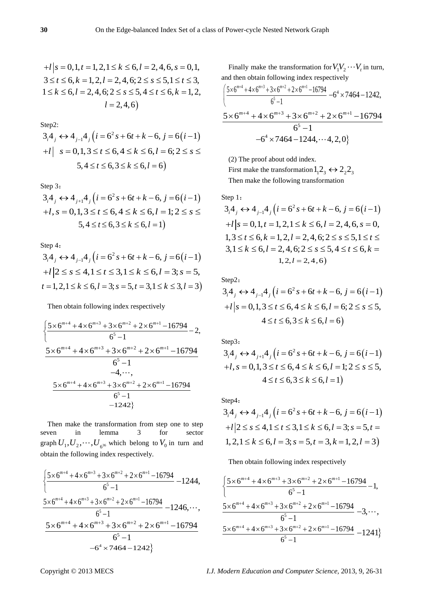Step2:

$$
3_{i}4_{j} \leftrightarrow 4_{j-1}4_{j} (i = 6^{2} s + 6t + k - 6, j = 6(i - 1)
$$
  
+1|  $s = 0, 1, 3 \le t \le 6, 4 \le k \le 6, l = 6; 2 \le s \le 5, 4 \le t \le 6, 3 \le k \le 6, l = 6$ 

Step 3:

$$
3_{i}4_{j} \leftrightarrow 4_{j+1}4_{j} (i = 6^{2} s + 6t + k - 6, j = 6(i - 1) + l, s = 0, 1, 3 \le t \le 6, 4 \le k \le 6, l = 1; 2 \le s \le 5, 4 \le t \le 6, 3 \le k \le 6, l = 1)
$$

Step 4:

 $(3, 4, 4) \leftrightarrow 4_{j-1}4 (i = 6^2 s + 6t + k - 6, j = 6(i-1))$  $+ l \big| 2 \leq s \leq 4, 1 \leq t \leq 3, 1 \leq k \leq 6, l = 3; s = 5,$  $t = 1, 2, 1 \le k \le 6, l = 3; s = 5, t = 3, 1 \le k \le 3, l = 3$ 

Then obtain following index respectively

$$
\begin{aligned}\n&\left\{\frac{5\times6^{m+4}+4\times6^{m+3}+3\times6^{m+2}+2\times6^{m+1}-16794}{6^5-1}-2,\\
&\frac{5\times6^{m+4}+4\times6^{m+3}+3\times6^{m+2}+2\times6^{m+1}-16794}{6^5-1}\\
&\frac{5\times6^{m+4}+4\times6^{m+3}+3\times6^{m+2}+2\times6^{m+1}-16794}{6^5-1}\\
&\frac{6^5-1}{-1242}\n\end{aligned}
$$

Then make the transformation from step one to step seven in lemma 3 for sector graph  $U_1, U_2, \cdots, U_{6^{36}}$  which belong to  $V_0$  in turn and obtain the following index respectively.

$$
\begin{aligned}\n&\frac{5 \times 6^{m+4} + 4 \times 6^{m+3} + 3 \times 6^{m+2} + 2 \times 6^{m+1} - 16794}{6^5 - 1} - 1244, \\
&\frac{5 \times 6^{m+4} + 4 \times 6^{m+3} + 3 \times 6^{m+2} + 2 \times 6^{m+1} - 16794}{6^5 - 1} - 1246, \cdots, \\
&\frac{5 \times 6^{m+4} + 4 \times 6^{m+3} + 3 \times 6^{m+2} + 2 \times 6^{m+1} - 16794}{6^5 - 1} \\
&\frac{6^5 - 1}{-6^4 \times 7464 - 1242}\n\end{aligned}
$$

Finally make the transformation for  $V_1V_2 \cdots V_t$  in turn, and then obtain following index respectively

$$
\frac{\left\{5 \times 6^{m+4} + 4 \times 6^{m+3} + 3 \times 6^{m+2} + 2 \times 6^{m+1} - 16794 + 64 \times 7464 - 1242, 6^5 - 1\right.}{6^5 - 1}
$$
\n
$$
-6^4 \times 7464 - 1244, \dots 4, 2, 0\}
$$

(2) The proof about odd index.

First make the transformation  $1, 2, \leftrightarrow 2, 2,$ Then make the following transformation

Step 1:  
\n
$$
3_i 4_j \leftrightarrow 4_{j-1} 4_j (i = 6^2 s + 6t + k - 6, j = 6(i - 1) + t | s = 0, 1, t = 1, 2, 1 \le k \le 6, l = 2, 4, 6, s = 0, 1, 3 \le t \le 6, k = 1, 2, l = 2, 4, 6; 2 \le s \le 5, 1 \le t \le 3, 1 \le k \le 6, l = 2, 4, 6; 2 \le s \le 5, 4 \le t \le 6, k = 1, 2, l = 2, 4, 6)
$$

Step2:

$$
3i4j \leftrightarrow 4j-14j (i = 62 s + 6t + k - 6, j = 6(i - 1)+l | s = 0, 1, 3 \le t \le 6, 4 \le k \le 6, l = 6; 2 \le s \le 5,4 \le t \le 6, 3 \le k \le 6, l = 6)
$$

Step3:

$$
3i4j \leftrightarrow 4j+14j (i = 62 s + 6t + k - 6, j = 6(i - 1)+l, s = 0, 1, 3 \le t \le 6, 4 \le k \le 6, l = 1; 2 \le s \le 5,4 \le t \le 6, 3 \le k \le 6, l = 1)
$$

Step4:  
\n
$$
3_i 4_j \leftrightarrow 4_{j-1} 4_j (i = 6^2 s + 6t + k - 6, j = 6(i - 1) + l | 2 \le s \le 4, 1 \le t \le 3, 1 \le k \le 6, l = 3; s = 5, t = 1, 2, l = 3)
$$
\n
$$
1, 2, 1 \le k \le 6, l = 3; s = 5, t = 3, k = 1, 2, l = 3
$$

Then obtain following index respectively

$$
\begin{aligned}\n&\left\{\frac{5\times6^{m+4}+4\times6^{m+3}+3\times6^{m+2}+2\times6^{m+1}-16794}{6^5-1}-1,\\
&\frac{5\times6^{m+4}+4\times6^{m+3}+3\times6^{m+2}+2\times6^{m+1}-16794}{6^5-1}-3,\cdots,\\
&\frac{5\times6^{m+4}+4\times6^{m+3}+3\times6^{m+2}+2\times6^{m+1}-16794}{6^5-1}-1241\right\}\n\end{aligned}
$$